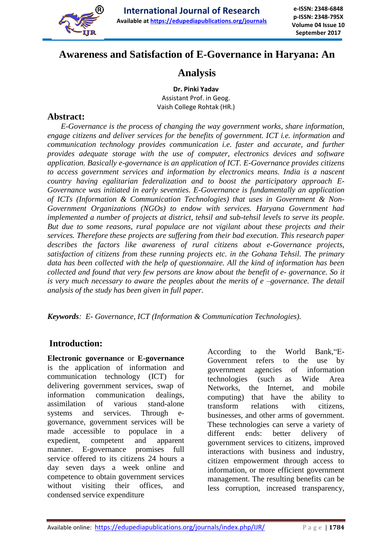

# **Awareness and Satisfaction of E-Governance in Haryana: An**

# **Analysis**

**Dr. Pinki Yadav** Assistant Prof. in Geog. Vaish College Rohtak (HR.)

## **Abstract:**

 *E-Governance is the process of changing the way government works, share information, engage citizens and deliver services for the benefits of government. ICT i.e. information and communication technology provides communication i.e. faster and accurate, and further provides adequate storage with the use of computer, electronics devices and software application. Basically e-governance is an application of ICT. E-Governance provides citizens to access government services and information by electronics means. India is a nascent country having egalitarian federalization and to boost the participatory approach E-Governance was initiated in early seventies. E-Governance is fundamentally an application of ICTs (Information & Communication Technologies) that uses in Government & Non-Government Organizations (NGOs) to endow with services. Haryana Government had implemented a number of projects at district, tehsil and sub-tehsil levels to serve its people. But due to some reasons, rural populace are not vigilant about these projects and their services. Therefore these projects are suffering from their bad execution. This research paper describes the factors like awareness of rural citizens about e-Governance projects, satisfaction of citizens from these running projects etc. in the Gohana Tehsil. The primary data has been collected with the help of questionnaire. All the kind of information has been collected and found that very few persons are know about the benefit of e- governance. So it is very much necessary to aware the peoples about the merits of e –governance. The detail analysis of the study has been given in full paper.*

*Keywords: E- Governance, ICT (Information & Communication Technologies).*

# **Introduction:**

**Electronic governance** or **E-governance** is the application of information and communication technology (ICT) for delivering government services, swap of information communication dealings, assimilation of various stand-alone systems and services. Through egovernance, government services will be made accessible to populace in a expedient, competent and apparent manner. E-governance promises full service offered to its citizens 24 hours a day seven days a week online and competence to obtain government services without visiting their offices, and condensed service expenditure

According to the World Bank,"E-Government refers to the use by government agencies of information technologies (such as Wide Area Networks, the Internet, and mobile computing) that have the ability to transform relations with citizens, businesses, and other arms of government. These technologies can serve a variety of different ends: better delivery of government services to citizens, improved interactions with business and industry, citizen empowerment through access to information, or more efficient government management. The resulting benefits can be less corruption, increased transparency,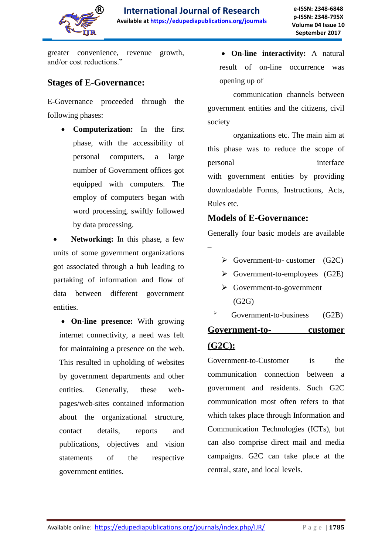

greater convenience, revenue growth, and/or cost reductions."

# **Stages of E-Governance:**

E-Governance proceeded through the following phases:

> **Computerization:** In the first phase, with the accessibility of personal computers, a large number of Government offices got equipped with computers. The employ of computers began with word processing, swiftly followed by data processing.

 **Networking:** In this phase, a few units of some government organizations got associated through a hub leading to partaking of information and flow of data between different government entities.

 **On-line presence:** With growing internet connectivity, a need was felt for maintaining a presence on the web. This resulted in upholding of websites by government departments and other entities. Generally, these webpages/web-sites contained information about the organizational structure, contact details, reports and publications, objectives and vision statements of the respective government entities.

 **On-line interactivity:** A natural result of on-line occurrence was opening up of

 communication channels between government entities and the citizens, civil society

 organizations etc. The main aim at this phase was to reduce the scope of personal interface with government entities by providing downloadable Forms, Instructions, Acts, Rules etc.

## **Models of E-Governance:**

Generally four basic models are available –

- $\triangleright$  Government-to- customer (G2C)
- $\triangleright$  Government-to-employees (G2E)
- $\triangleright$  Government-to-government  $(G2G)$
- $\rightarrow$  Government-to-business (G2B)

# **Government-to- customer (G2C):**

Government-to-Customer is the communication connection between a government and residents. Such G2C communication most often refers to that which takes place through Information and Communication Technologies (ICTs), but can also comprise direct mail and media campaigns. G2C can take place at the central, state, and local levels.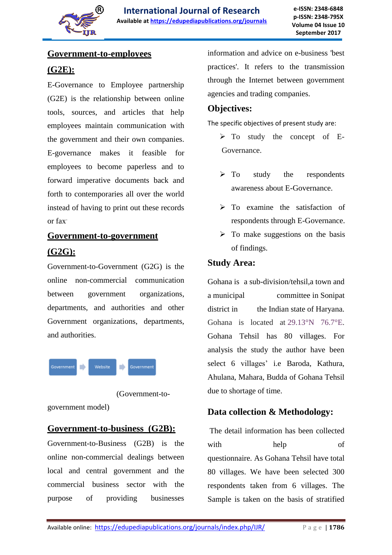

## **Government-to-employees**

# **(G2E):**

E-Governance to Employee partnership (G2E) is the relationship between online tools, sources, and articles that help employees maintain communication with the government and their own companies. E-governance makes it feasible for employees to become paperless and to forward imperative documents back and forth to contemporaries all over the world instead of having to print out these records or fax.

# **Government-to-government (G2G):**

Government-to-Government (G2G) is the online non-commercial communication between government organizations, departments, and authorities and other Government organizations, departments, and authorities.



(Government-to-

government model)

# **Government-to-business (G2B):**

Government-to-Business (G2B) is the online non-commercial dealings between local and central government and the commercial business sector with the purpose of providing businesses

information and advice on e-business 'best practices'. It refers to the transmission through the Internet between government agencies and trading companies.

## **Objectives:**

The specific objectives of present study are:

- $\triangleright$  To study the concept of E-Governance.
- $\triangleright$  To study the respondents awareness about E-Governance.
- $\triangleright$  To examine the satisfaction of respondents through E-Governance.
- $\triangleright$  To make suggestions on the basis of findings.

## **Study Area:**

Gohana is a sub-division/tehsil,a town and a municipal committee in Sonipat district in the Indian state of Haryana. Gohana is located at 29.13°N 76.7°E. Gohana Tehsil has 80 villages. For analysis the study the author have been select 6 villages' i.e Baroda, Kathura, Ahulana, Mahara, Budda of Gohana Tehsil due to shortage of time.

# **Data collection & Methodology:**

The detail information has been collected with help of questionnaire. As Gohana Tehsil have total 80 villages. We have been selected 300 respondents taken from 6 villages. The Sample is taken on the basis of stratified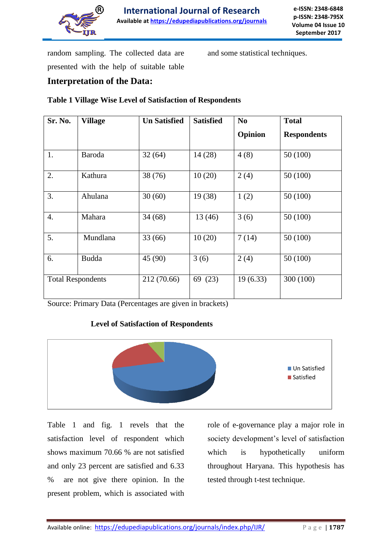

random sampling. The collected data are presented with the help of suitable table and some statistical techniques.

# **Interpretation of the Data:**

#### **Table 1 Village Wise Level of Satisfaction of Respondents**

| <b>Sr. No.</b>           | <b>Village</b> | <b>Un Satisfied</b> | <b>Satisfied</b> | N <sub>o</sub> | <b>Total</b>       |
|--------------------------|----------------|---------------------|------------------|----------------|--------------------|
|                          |                |                     |                  | Opinion        | <b>Respondents</b> |
| 1.                       | Baroda         | 32(64)              | 14(28)           | 4(8)           | 50(100)            |
| 2.                       | Kathura        | 38 (76)             | 10(20)           | 2(4)           | 50(100)            |
| 3.                       | Ahulana        | 30(60)              | 19(38)           | 1(2)           | 50(100)            |
| $\overline{4}$ .         | Mahara         | 34(68)              | 13(46)           | 3(6)           | 50(100)            |
| 5.                       | Mundlana       | 33(66)              | 10(20)           | 7(14)          | 50(100)            |
| 6.                       | <b>Budda</b>   | 45 (90)             | 3(6)             | 2(4)           | 50(100)            |
| <b>Total Respondents</b> |                | 212 (70.66)         | 69 (23)          | 19(6.33)       | 300 (100)          |

Source: Primary Data (Percentages are given in brackets)

#### **Level of Satisfaction of Respondents**



Table 1 and fig. 1 revels that the satisfaction level of respondent which shows maximum 70.66 % are not satisfied and only 23 percent are satisfied and 6.33 % are not give there opinion. In the present problem, which is associated with role of e-governance play a major role in society development's level of satisfaction which is hypothetically uniform throughout Haryana. This hypothesis has tested through t-test technique.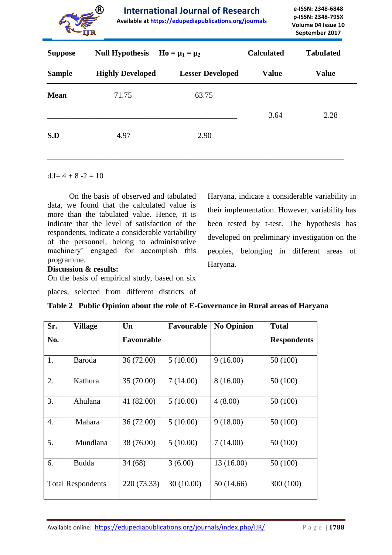

**Available at https://edupediapublications.org/journals**

| <b>Suppose</b> | <b>Null Hypothesis</b><br>$Ho = \mu_1 = \mu_2$ |                         | <b>Calculated</b> | <b>Tabulated</b> |
|----------------|------------------------------------------------|-------------------------|-------------------|------------------|
| <b>Sample</b>  | <b>Highly Developed</b>                        | <b>Lesser Developed</b> | <b>Value</b>      | <b>Value</b>     |
| <b>Mean</b>    | 71.75                                          | 63.75                   | 3.64              | 2.28             |
| S.D            | 4.97                                           | 2.90                    |                   |                  |

 $d.f = 4 + 8 - 2 = 10$ 

 On the basis of observed and tabulated data, we found that the calculated value is more than the tabulated value. Hence, it is indicate that the level of satisfaction of the respondents, indicate a considerable variability of the personnel, belong to administrative machinery" engaged for accomplish this programme.

Haryana, indicate a considerable variability in their implementation. However, variability has been tested by t-test. The hypothesis has developed on preliminary investigation on the peoples, belonging in different areas of Haryana.

#### **Discussion & results:**

On the basis of empirical study, based on six

places, selected from different districts of

| Sr.                      | <b>Village</b> | Un                | <b>Favourable</b> | <b>No Opinion</b> | <b>Total</b>       |
|--------------------------|----------------|-------------------|-------------------|-------------------|--------------------|
| No.                      |                | <b>Favourable</b> |                   |                   | <b>Respondents</b> |
| 1.                       | Baroda         | 36(72.00)         | 5(10.00)          | 9(16.00)          | 50 (100)           |
| 2.                       | Kathura        | 35 (70.00)        | 7(14.00)          | 8(16.00)          | 50 (100)           |
| 3.                       | Ahulana        | 41 (82.00)        | 5(10.00)          | 4(8.00)           | 50 (100)           |
| 4.                       | Mahara         | 36 (72.00)        | 5(10.00)          | 9(18.00)          | 50 (100)           |
| 5.                       | Mundlana       | 38 (76.00)        | 5(10.00)          | 7(14.00)          | 50 (100)           |
| 6.                       | <b>Budda</b>   | 34(68)            | 3(6.00)           | 13 (16.00)        | 50 (100)           |
| <b>Total Respondents</b> |                | 220 (73.33)       | 30(10.00)         | 50(14.66)         | 300 (100)          |

**Table 2 Public Opinion about the role of E-Governance in Rural areas of Haryana**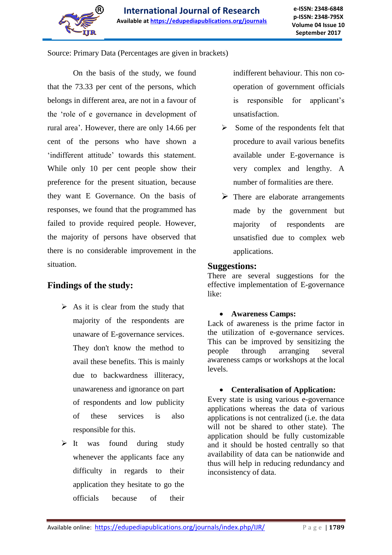

Source: Primary Data (Percentages are given in brackets)

 On the basis of the study, we found that the 73.33 per cent of the persons, which belongs in different area, are not in a favour of the "role of e governance in development of rural area". However, there are only 14.66 per cent of the persons who have shown a 'indifferent attitude' towards this statement. While only 10 per cent people show their preference for the present situation, because they want E Governance. On the basis of responses, we found that the programmed has failed to provide required people. However, the majority of persons have observed that there is no considerable improvement in the situation.

## **Findings of the study:**

- $\triangleright$  As it is clear from the study that majority of the respondents are unaware of E-governance services. They don't know the method to avail these benefits. This is mainly due to backwardness illiteracy, unawareness and ignorance on part of respondents and low publicity of these services is also responsible for this.
- $\triangleright$  It was found during study whenever the applicants face any difficulty in regards to their application they hesitate to go the officials because of their

indifferent behaviour. This non cooperation of government officials is responsible for applicant"s unsatisfaction.

- $\triangleright$  Some of the respondents felt that procedure to avail various benefits available under E-governance is very complex and lengthy. A number of formalities are there.
- $\triangleright$  There are elaborate arrangements made by the government but majority of respondents are unsatisfied due to complex web applications.

#### **Suggestions:**

There are several suggestions for the effective implementation of E-governance like:

#### **Awareness Camps:**

Lack of awareness is the prime factor in the utilization of e-governance services. This can be improved by sensitizing the people through arranging several awareness camps or workshops at the local levels.

#### **Centeralisation of Application:**

Every state is using various e-governance applications whereas the data of various applications is not centralized (i.e. the data will not be shared to other state). The application should be fully customizable and it should be hosted centrally so that availability of data can be nationwide and thus will help in reducing redundancy and inconsistency of data.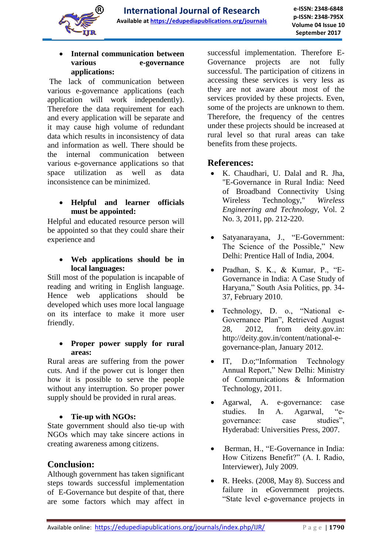

#### **Internal communication between various e-governance applications:**

The lack of communication between various e-governance applications (each application will work independently). Therefore the data requirement for each and every application will be separate and it may cause high volume of redundant data which results in inconsistency of data and information as well. There should be the internal communication between various e-governance applications so that space utilization as well as data inconsistence can be minimized.

## **Helpful and learner officials must be appointed:**

Helpful and educated resource person will be appointed so that they could share their experience and

 **Web applications should be in local languages:**

Still most of the population is incapable of reading and writing in English language. Hence web applications should be developed which uses more local language on its interface to make it more user friendly.

#### **Proper power supply for rural areas:**

Rural areas are suffering from the power cuts. And if the power cut is longer then how it is possible to serve the people without any interruption. So proper power supply should be provided in rural areas.

#### **Tie-up with NGOs:**

State government should also tie-up with NGOs which may take sincere actions in creating awareness among citizens.

## **Conclusion:**

Although government has taken significant steps towards successful implementation of E-Governance but despite of that, there are some factors which may affect in successful implementation. Therefore E-Governance projects are not fully successful. The participation of citizens in accessing these services is very less as they are not aware about most of the services provided by these projects. Even, some of the projects are unknown to them. Therefore, the frequency of the centres under these projects should be increased at rural level so that rural areas can take benefits from these projects.

## **References:**

- K. Chaudhari, U. Dalal and R. Jha, "E-Governance in Rural India: Need of Broadband Connectivity Using Wireless Technology," *Wireless Engineering and Technology*, Vol. 2 No. 3, 2011, pp. 212-220.
- Satyanarayana, J., "E-Government: The Science of the Possible," New Delhi: Prentice Hall of India, 2004.
- Pradhan, S. K., & Kumar, P., "E-Governance in India: A Case Study of Haryana," South Asia Politics, pp. 34- 37, February 2010.
- Technology, D. o., "National e-Governance Plan", Retrieved August 28, 2012, from deity.gov.in: http://deity.gov.in/content/national-egovernance-plan, January 2012.
- IT, D.o;"Information Technology Annual Report," New Delhi: Ministry of Communications & Information Technology, 2011.
- Agarwal, A. e-governance: case studies. In A. Agarwal, "egovernance: case studies", Hyderabad: Universities Press, 2007.
- Berman, H., "E-Governance in India: How Citizens Benefit?" (A. I. Radio, Interviewer), July 2009.
- R. Heeks. (2008, May 8). Success and failure in eGovernment projects. "State level e-governance projects in